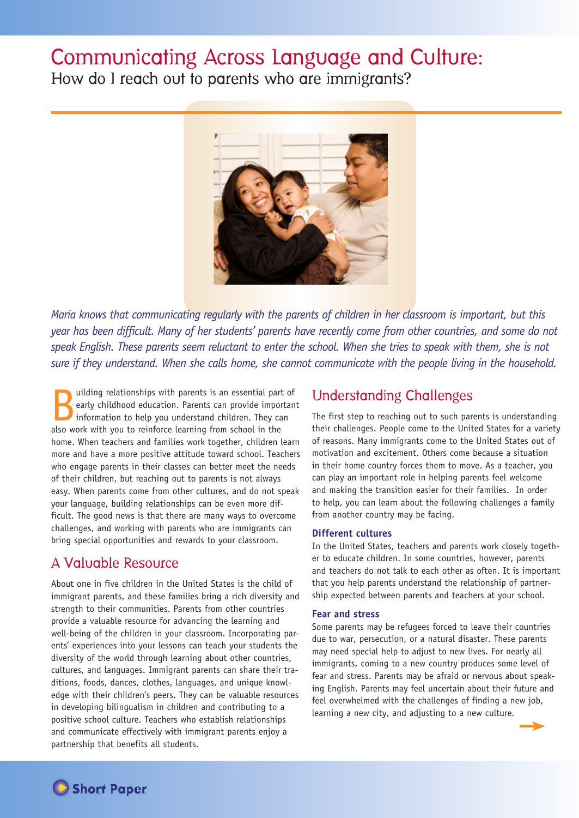# Communicating Across Language and Culture:

How do I reach out to parents who are immigrants?



*Maria knows that communicating regularly with the parents of children in her classroom is important, but this year has been difficult. Many of her students' parents have recently come from other countries, and some do not speak English. These parents seem reluctant to enter the school. When she tries to speak with them, she is not sure if they understand. When she calls home, she cannot communicate with the people living in the household.* 

uilding relationships with parents is an essential part of<br>early childhood education. Parents can provide important<br>information to help you understand children. They can<br>also work with you to reinforce loarning from school early childhood education. Parents can provide important information to help you understand children. They can also work with you to reinforce learning from school in the home. When teachers and families work together, children learn more and have a more positive attitude toward school. Teachers who engage parents in their classes can better meet the needs of their children, but reaching out to parents is not always easy. When parents come from other cultures, and do not speak your language, building relationships can be even more difficult. The good news is that there are many ways to overcome challenges, and working with parents who are immigrants can bring special opportunities and rewards to your classroom.

# A Valuable Resource

About one in five children in the United States is the child of immigrant parents, and these families bring a rich diversity and strength to their communities. Parents from other countries provide a valuable resource for advancing the learning and well-being of the children in your classroom. Incorporating parents' experiences into your lessons can teach your students the diversity of the world through learning about other countries, cultures, and languages. Immigrant parents can share their traditions, foods, dances, clothes, languages, and unique knowledge with their children's peers. They can be valuable resources in developing bilingualism in children and contributing to a positive school culture. Teachers who establish relationships and communicate effectively with immigrant parents enjoy a partnership that benefits all students.

# Understanding Challenges

The first step to reaching out to such parents is understanding their challenges. People come to the United States for a variety of reasons. Many immigrants come to the United States out of motivation and excitement. Others come because a situation in their home country forces them to move. As a teacher, you can play an important role in helping parents feel welcome and making the transition easier for their families. In order to help, you can learn about the following challenges a family from another country may be facing.

## **Different cultures**

In the United States, teachers and parents work closely together to educate children. In some countries, however, parents and teachers do not talk to each other as often. It is important that you help parents understand the relationship of partnership expected between parents and teachers at your school.

#### **Fear and stress**

Some parents may be refugees forced to leave their countries due to war, persecution, or a natural disaster. These parents may need special help to adjust to new lives. For nearly all immigrants, coming to a new country produces some level of fear and stress. Parents may be afraid or nervous about speaking English. Parents may feel uncertain about their future and feel overwhelmed with the challenges of finding a new job, learning a new city, and adjusting to a new culture.



**Short Paper**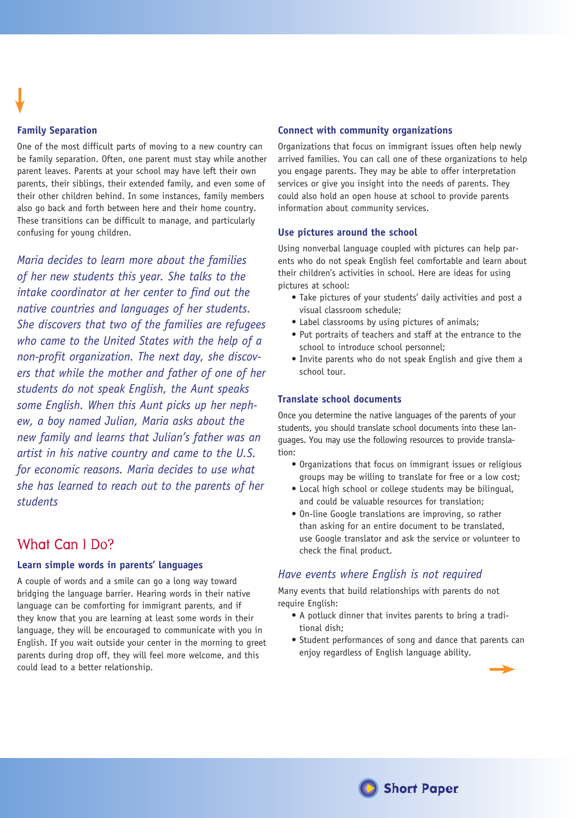### **Family Separation**

One of the most difficult parts of moving to a new country can be family separation. Often, one parent must stay while another parent leaves. Parents at your school may have left their own parents, their siblings, their extended family, and even some of their other children behind. In some instances, family members also go back and forth between here and their home country. These transitions can be difficult to manage, and particularly confusing for young children.

*Maria decides to learn more about the families of her new students this year. She talks to the intake coordinator at her center to find out the native countries and languages of her students. She discovers that two of the families are refugees who came to the United States with the help of a non-profit organization. The next day, she discovers that while the mother and father of one of her students do not speak English, the Aunt speaks some English. When this Aunt picks up her nephew, a boy named Julian, Maria asks about the new family and learns that Julian's father was an artist in his native country and came to the U.S. for economic reasons. Maria decides to use what she has learned to reach out to the parents of her students*

# What Can I Do?

#### **Learn simple words in parents' languages**

A couple of words and a smile can go a long way toward bridging the language barrier. Hearing words in their native language can be comforting for immigrant parents, and if they know that you are learning at least some words in their language, they will be encouraged to communicate with you in English. If you wait outside your center in the morning to greet parents during drop off, they will feel more welcome, and this could lead to a better relationship.

#### **Connect with community organizations**

Organizations that focus on immigrant issues often help newly arrived families. You can call one of these organizations to help you engage parents. They may be able to offer interpretation services or give you insight into the needs of parents. They could also hold an open house at school to provide parents information about community services.

#### **Use pictures around the school**

Using nonverbal language coupled with pictures can help parents who do not speak English feel comfortable and learn about their children's activities in school. Here are ideas for using pictures at school:

- Take pictures of your students' daily activities and post a visual classroom schedule;
- Label classrooms by using pictures of animals;
- Put portraits of teachers and staff at the entrance to the school to introduce school personnel;
- Invite parents who do not speak English and give them a school tour.

#### **Translate school documents**

Once you determine the native languages of the parents of your students, you should translate school documents into these languages. You may use the following resources to provide translation:

- Organizations that focus on immigrant issues or religious groups may be willing to translate for free or a low cost;
- Local high school or college students may be bilingual, and could be valuable resources for translation;
- On-line Google translations are improving, so rather than asking for an entire document to be translated, use Google translator and ask the service or volunteer to check the final product.

# *Have events where English is not required*

Many events that build relationships with parents do not require English:

- A potluck dinner that invites parents to bring a traditional dish;
- Student performances of song and dance that parents can enjoy regardless of English language ability.



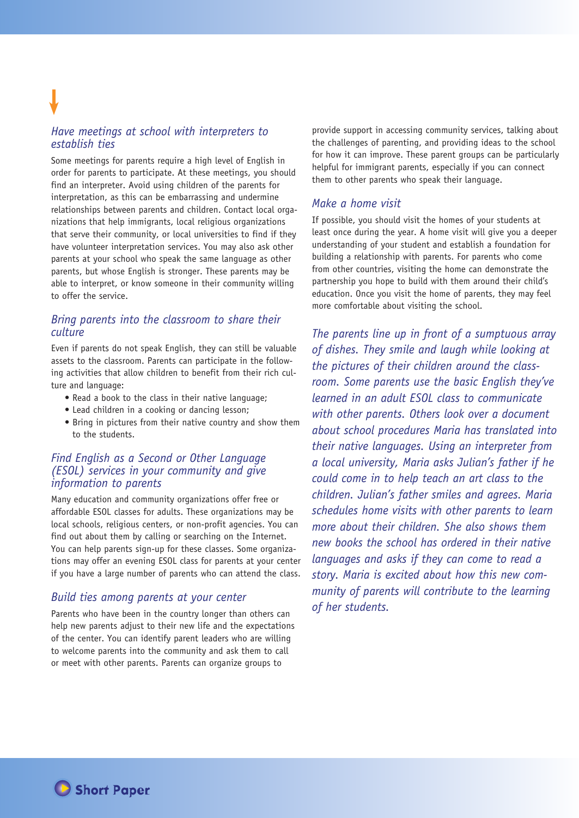# *Have meetings at school with interpreters to establish ties*

Some meetings for parents require a high level of English in order for parents to participate. At these meetings, you should find an interpreter. Avoid using children of the parents for interpretation, as this can be embarrassing and undermine relationships between parents and children. Contact local organizations that help immigrants, local religious organizations that serve their community, or local universities to find if they have volunteer interpretation services. You may also ask other parents at your school who speak the same language as other parents, but whose English is stronger. These parents may be able to interpret, or know someone in their community willing to offer the service.

# *Bring parents into the classroom to share their culture*

Even if parents do not speak English, they can still be valuable assets to the classroom. Parents can participate in the following activities that allow children to benefit from their rich culture and language:

- Read a book to the class in their native language;
- Lead children in a cooking or dancing lesson;
- Bring in pictures from their native country and show them to the students.

#### *Find English as a Second or Other Language (ESOL) services in your community and give information to parents*

Many education and community organizations offer free or affordable ESOL classes for adults. These organizations may be local schools, religious centers, or non-profit agencies. You can find out about them by calling or searching on the Internet. You can help parents sign-up for these classes. Some organizations may offer an evening ESOL class for parents at your center if you have a large number of parents who can attend the class.

## *Build ties among parents at your center*

Parents who have been in the country longer than others can help new parents adjust to their new life and the expectations of the center. You can identify parent leaders who are willing to welcome parents into the community and ask them to call or meet with other parents. Parents can organize groups to

provide support in accessing community services, talking about the challenges of parenting, and providing ideas to the school for how it can improve. These parent groups can be particularly helpful for immigrant parents, especially if you can connect them to other parents who speak their language.

### *Make a home visit*

If possible, you should visit the homes of your students at least once during the year. A home visit will give you a deeper understanding of your student and establish a foundation for building a relationship with parents. For parents who come from other countries, visiting the home can demonstrate the partnership you hope to build with them around their child's education. Once you visit the home of parents, they may feel more comfortable about visiting the school.

*The parents line up in front of a sumptuous array of dishes. They smile and laugh while looking at the pictures of their children around the classroom. Some parents use the basic English they've learned in an adult ESOL class to communicate with other parents. Others look over a document about school procedures Maria has translated into their native languages. Using an interpreter from a local university, Maria asks Julian's father if he could come in to help teach an art class to the children. Julian's father smiles and agrees. Maria schedules home visits with other parents to learn more about their children. She also shows them new books the school has ordered in their native languages and asks if they can come to read a story. Maria is excited about how this new community of parents will contribute to the learning of her students.* 

**the Short Paper**